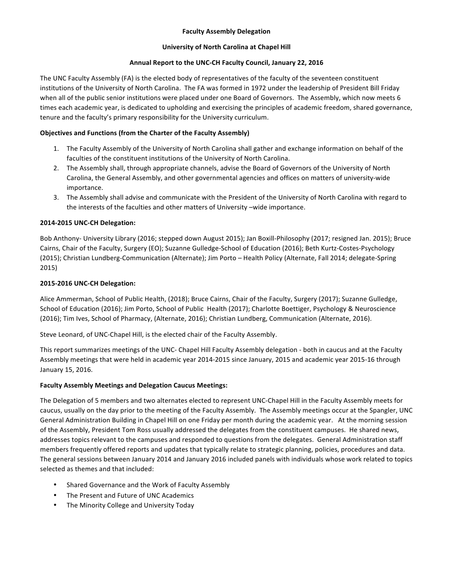# **Faculty Assembly Delegation**

#### **University of North Carolina at Chapel Hill**

#### Annual Report to the UNC-CH Faculty Council, January 22, 2016

The UNC Faculty Assembly (FA) is the elected body of representatives of the faculty of the seventeen constituent institutions of the University of North Carolina. The FA was formed in 1972 under the leadership of President Bill Friday when all of the public senior institutions were placed under one Board of Governors. The Assembly, which now meets 6 times each academic year, is dedicated to upholding and exercising the principles of academic freedom, shared governance, tenure and the faculty's primary responsibility for the University curriculum.

# **Objectives and Functions (from the Charter of the Faculty Assembly)**

- 1. The Faculty Assembly of the University of North Carolina shall gather and exchange information on behalf of the faculties of the constituent institutions of the University of North Carolina.
- 2. The Assembly shall, through appropriate channels, advise the Board of Governors of the University of North Carolina, the General Assembly, and other governmental agencies and offices on matters of university-wide importance.
- 3. The Assembly shall advise and communicate with the President of the University of North Carolina with regard to the interests of the faculties and other matters of University -wide importance.

# **2014-2015 UNC-CH Delegation:**

Bob Anthony- University Library (2016; stepped down August 2015); Jan Boxill-Philosophy (2017; resigned Jan. 2015); Bruce Cairns, Chair of the Faculty, Surgery (EO); Suzanne Gulledge-School of Education (2016); Beth Kurtz-Costes-Psychology (2015); Christian Lundberg-Communication (Alternate); Jim Porto - Health Policy (Alternate, Fall 2014; delegate-Spring 2015)

# **2015-2016 UNC-CH Delegation:**

Alice Ammerman, School of Public Health, (2018); Bruce Cairns, Chair of the Faculty, Surgery (2017); Suzanne Gulledge, School of Education (2016); Jim Porto, School of Public Health (2017); Charlotte Boettiger, Psychology & Neuroscience (2016); Tim Ives, School of Pharmacy, (Alternate, 2016); Christian Lundberg, Communication (Alternate, 2016).

Steve Leonard, of UNC-Chapel Hill, is the elected chair of the Faculty Assembly.

This report summarizes meetings of the UNC- Chapel Hill Faculty Assembly delegation - both in caucus and at the Faculty Assembly meetings that were held in academic year 2014-2015 since January, 2015 and academic year 2015-16 through January 15, 2016.

# **Faculty Assembly Meetings and Delegation Caucus Meetings:**

The Delegation of 5 members and two alternates elected to represent UNC-Chapel Hill in the Faculty Assembly meets for caucus, usually on the day prior to the meeting of the Faculty Assembly. The Assembly meetings occur at the Spangler, UNC General Administration Building in Chapel Hill on one Friday per month during the academic year. At the morning session of the Assembly, President Tom Ross usually addressed the delegates from the constituent campuses. He shared news, addresses topics relevant to the campuses and responded to questions from the delegates. General Administration staff members frequently offered reports and updates that typically relate to strategic planning, policies, procedures and data. The general sessions between January 2014 and January 2016 included panels with individuals whose work related to topics selected as themes and that included:

- Shared Governance and the Work of Faculty Assembly
- The Present and Future of UNC Academics
- The Minority College and University Today